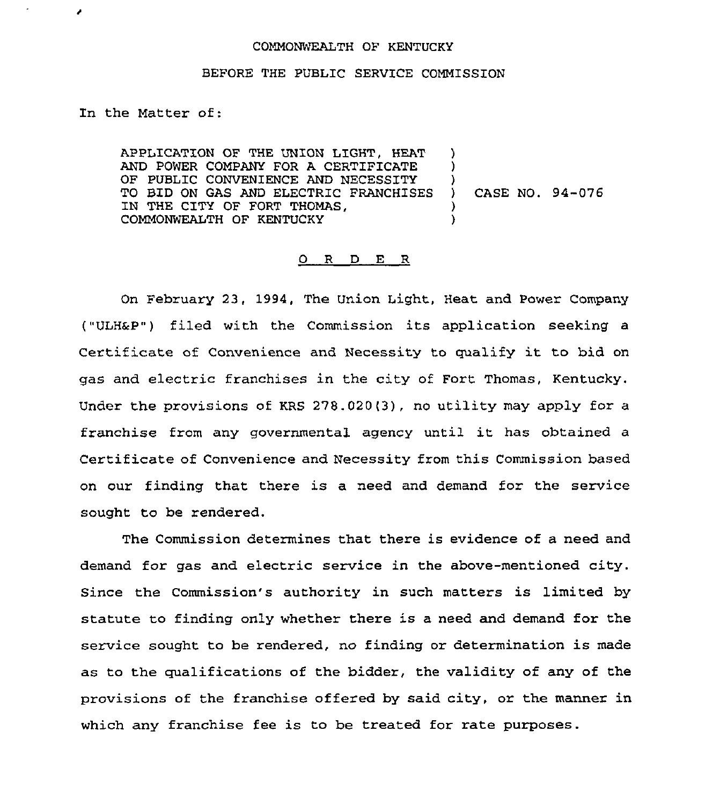## COMMONWEALTH OF KENTUCKY

## BEFORE THE PUBLIC SERVICE COMMISSION

In the Matter of:

٠

APPLICATION OF THE UNION LIGHT, HEAT AND POWER COMPANY FOR A CERTIFICATE OF PUBLIC CONVENIENCE AND NECESSITY TO BID ON GAS AND ELECTRIC FRANCHISES IN THE CITY OF FORT THOMAS, COMMONWEALTH OF KENTUCKY ) )  $\left\{ \right\}$ ) CASE NO. 94-076 ) )

## 0 <sup>R</sup> <sup>D</sup> E <sup>R</sup>

On February 23, 1994, The Union Light, Heat and Power Company ("ULH&P") filed with the Commission its application seeking a Certificate of Convenience and Necessity to qualify it to bid on gas and electric franchises in the city of Fort Thomas, Kentucky. Under the provisions of KRS 278.020(3), no utility may apply for a franchise from any governmental agency until it has obtained <sup>a</sup> Certificate of Convenience and Necessity from this Commission based on our finding that there is a need and demand for the service sought to be rendered.

The Commission determines that there is evidence of a need and demand for gas and electric service in the above-mentioned city. Since the Commission's authority in such matters is limited by statute to finding only whether there is a need and demand for the service sought to be rendered, no finding or determination is made as to the qualifications of the bidder, the validity of any of the provisions of the franchise offered by said city, or the manner in which any franchise fee is to be treated for rate purposes.